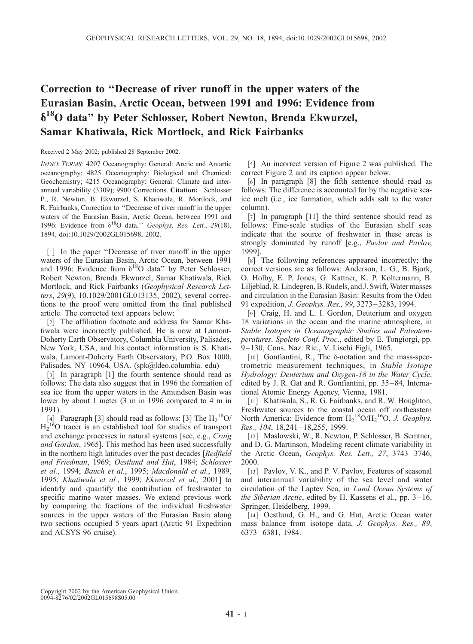## Correction to ''Decrease of river runoff in the upper waters of the Eurasian Basin, Arctic Ocean, between 1991 and 1996: Evidence from d18O data'' by Peter Schlosser, Robert Newton, Brenda Ekwurzel, Samar Khatiwala, Rick Mortlock, and Rick Fairbanks

Received 2 May 2002; published 28 September 2002.

INDEX TERMS: 4207 Oceanography: General: Arctic and Antartic oceanography; 4825 Oceanography: Biological and Chemical: Geochemistry; 4215 Oceanography: General: Climate and interannual variability (3309); 9900 Corrections. Citation: Schlosser P., R. Newton, B. Ekwurzel, S. Khatiwala, R. Mortlock, and R. Fairbanks, Correction to ''Decrease of river runoff in the upper waters of the Eurasian Basin, Arctic Ocean, between 1991 and 1996: Evidence from  $\delta^{18}O$  data," Geophys. Res. Lett., 29(18), 1894, doi:10.1029/2002GL015698, 2002.

[1] In the paper ''Decrease of river runoff in the upper waters of the Eurasian Basin, Arctic Ocean, between 1991 and 1996: Evidence from  $\delta^{18}O$  data" by Peter Schlosser, Robert Newton, Brenda Ekwurzel, Samar Khatiwala, Rick Mortlock, and Rick Fairbanks (Geophysical Research Letters, 29(9), 10.1029/2001GL013135, 2002), several corrections to the proof were omitted from the final published article. The corrected text appears below:

[2] The affiliation footnote and address for Samar Khatiwala were incorrectly published. He is now at Lamont-Doherty Earth Observatory, Columbia University, Palisades, New York, USA, and his contact information is S. Khatiwala, Lamont-Doherty Earth Observatory, P.O. Box 1000, Palisades, NY 10964, USA. (spk@ldeo.columbia. edu)

[3] In paragraph [1] the fourth sentence should read as follows: The data also suggest that in 1996 the formation of sea ice from the upper waters in the Amundsen Basin was lower by about 1 meter (3 m in 1996 compared to 4 m in 1991).

[4] Paragraph [3] should read as follows: [3] The  $H_2^{18}O$ /  $H_2^{16}$ O tracer is an established tool for studies of transport and exchange processes in natural systems [see, e.g., Craig and Gordon, 1965]. This method has been used successfully in the northern high latitudes over the past decades [Redfield and Friedman, 1969; Oestlund and Hut, 1984; Schlosser et al., 1994; Bauch et al., 1995; Macdonald et al., 1989, 1995; Khatiwala et al., 1999; Ekwurzel et al., 2001] to identify and quantify the contribution of freshwater to specific marine water masses. We extend previous work by comparing the fractions of the individual freshwater sources in the upper waters of the Eurasian Basin along two sections occupied 5 years apart (Arctic 91 Expedition and ACSYS 96 cruise).

[5] An incorrect version of Figure 2 was published. The correct Figure 2 and its caption appear below.

[6] In paragraph [8] the fifth sentence should read as follows: The difference is accounted for by the negative seaice melt (i.e., ice formation, which adds salt to the water column).

[7] In paragraph [11] the third sentence should read as follows: Fine-scale studies of the Eurasian shelf seas indicate that the source of freshwater in these areas is strongly dominated by runoff [e.g., Pavlov and Pavlov, 1999].

[8] The following references appeared incorrectly; the correct versions are as follows: Anderson, L. G., B. Bjork, O. Holby, E. P. Jones, G. Kattner, K. P. Koltermann, B. Liljeblad, R. Lindegren, B. Rudels, and J. Swift, Water masses and circulation in the Eurasian Basin: Results from the Oden 91 expedition, J. Geophys. Res., 99, 3273 – 3283, 1994.

[9] Craig, H. and L. I. Gordon, Deuterium and oxygen 18 variations in the ocean and the marine atmosphere, in Stable Isotopes in Oceanographic Studies and Paleotemperatures. Spoleto Conf. Proc., edited by E. Tongiorgi, pp. 9– 130, Cons. Naz. Ric., V. Lischi Figli, 1965.

[ $10$ ] Gonfiantini, R., The  $\delta$ -notation and the mass-spectrometric measurement techniques, in Stable Isotope Hydrology: Deuterium and Oxygen-18 in the Water Cycle, edited by J. R. Gat and R. Gonfiantini, pp. 35 –84, International Atomic Energy Agency, Vienna, 1981.

[11] Khatiwala, S., R. G. Fairbanks, and R. W. Houghton, Freshwater sources to the coastal ocean off northeastern North America: Evidence from  $H_2^{18}O/H_2^{16}O$ , J. Geophys. Res., 104, 18,241-18,255, 1999.

[12] Maslowski, W., R. Newton, P. Schlosser, B. Semtner, and D. G. Martinson, Modeling recent climate variability in the Arctic Ocean, Geophys. Res. Lett., 27, 3743-3746, 2000.

[13] Pavlov, V. K., and P. V. Pavlov, Features of seasonal and interannual variability of the sea level and water circulation of the Laptev Sea, in Land Ocean Systems of the Siberian Arctic, edited by H. Kassens et al., pp.  $3-16$ , Springer, Heidelberg, 1999.

[14] Oestlund, G. H., and G. Hut, Arctic Ocean water mass balance from isotope data, J. Geophys. Res., 89, 6373– 6381, 1984.

Copyright 2002 by the American Geophysical Union. 0094-8276/02/2002GL015698\$05.00